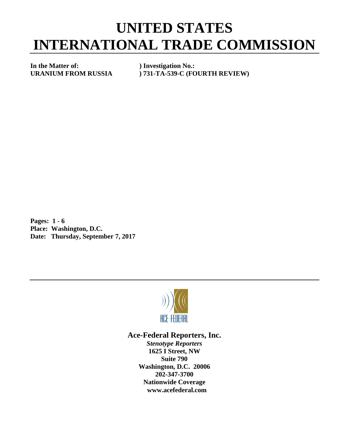## **UNITED STATES INTERNATIONAL TRADE COMMISSION**

**In the Matter of: ) Investigation No.:**

**URANIUM FROM RUSSIA ) 731-TA-539-C (FOURTH REVIEW)**

**Pages: 1 - 6 Place: Washington, D.C. Date: Thursday, September 7, 2017**



## **Ace-Federal Reporters, Inc.**

*Stenotype Reporters* **1625 I Street, NW Suite 790 Washington, D.C. 20006 202-347-3700 Nationwide Coverage www.acefederal.com**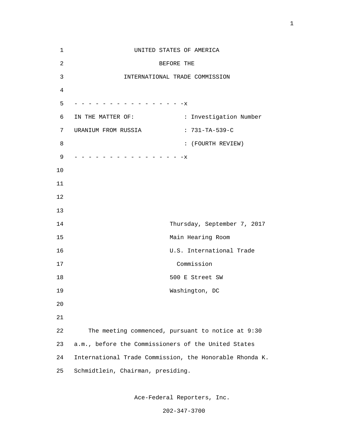| $1\,$          | UNITED STATES OF AMERICA                                |  |
|----------------|---------------------------------------------------------|--|
| $\overline{2}$ | BEFORE THE                                              |  |
| $\mathfrak{Z}$ | INTERNATIONAL TRADE COMMISSION                          |  |
| $\overline{4}$ |                                                         |  |
| 5              | - - - - - - - - - - - - - X                             |  |
| 6              | : Investigation Number<br>IN THE MATTER OF:             |  |
| 7              | URANIUM FROM RUSSIA<br>$: 731-TA-539-C$                 |  |
| 8              | : (FOURTH REVIEW)                                       |  |
| 9              | - - - - - - - - - - - - - - X                           |  |
| 10             |                                                         |  |
| 11             |                                                         |  |
| 12             |                                                         |  |
| 13             |                                                         |  |
| 14             | Thursday, September 7, 2017                             |  |
| 15             | Main Hearing Room                                       |  |
| 16             | U.S. International Trade                                |  |
| 17             | Commission                                              |  |
| 18             | 500 E Street SW                                         |  |
| 19             | Washington, DC                                          |  |
| 20             |                                                         |  |
| 21             |                                                         |  |
| 22             | The meeting commenced, pursuant to notice at 9:30       |  |
| 23             | a.m., before the Commissioners of the United States     |  |
| 24             | International Trade Commission, the Honorable Rhonda K. |  |
| 25             | Schmidtlein, Chairman, presiding.                       |  |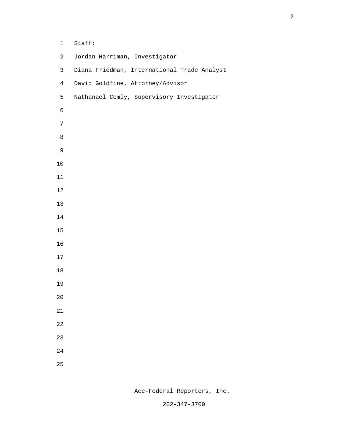| $\mathbf 1$      | Staff:                                      |
|------------------|---------------------------------------------|
| $\overline{a}$   | Jordan Harriman, Investigator               |
| $\mathsf{3}$     | Diana Friedman, International Trade Analyst |
| $\overline{4}$   | David Goldfine, Attorney/Advisor            |
| 5                | Nathanael Comly, Supervisory Investigator   |
| $\epsilon$       |                                             |
| $\boldsymbol{7}$ |                                             |
| $\,8\,$          |                                             |
| $\mathsf 9$      |                                             |
| $10\,$           |                                             |
| $11\,$           |                                             |
| $12$             |                                             |
| 13               |                                             |
| 14               |                                             |
| 15               |                                             |
| 16               |                                             |
| 17               |                                             |
| 18               |                                             |
| 19               |                                             |
| 20               |                                             |
| 21               |                                             |
| 22               |                                             |
| 23               |                                             |
| 24               |                                             |
| 25               |                                             |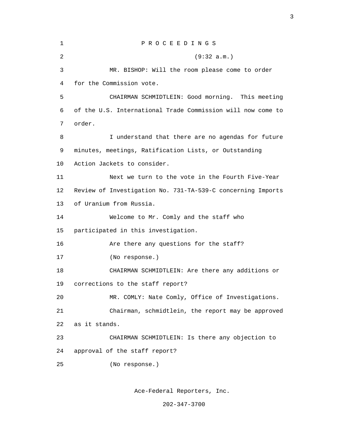| 1  | PROCEEDINGS                                                 |
|----|-------------------------------------------------------------|
| 2  | (9:32 a.m.)                                                 |
| 3  | MR. BISHOP: Will the room please come to order              |
| 4  | for the Commission vote.                                    |
| 5  | CHAIRMAN SCHMIDTLEIN: Good morning. This meeting            |
| 6  | of the U.S. International Trade Commission will now come to |
| 7  | order.                                                      |
| 8  | I understand that there are no agendas for future           |
| 9  | minutes, meetings, Ratification Lists, or Outstanding       |
| 10 | Action Jackets to consider.                                 |
| 11 | Next we turn to the vote in the Fourth Five-Year            |
| 12 | Review of Investigation No. 731-TA-539-C concerning Imports |
| 13 | of Uranium from Russia.                                     |
| 14 | Welcome to Mr. Comly and the staff who                      |
| 15 | participated in this investigation.                         |
| 16 | Are there any questions for the staff?                      |
| 17 | (No response.)                                              |
| 18 | CHAIRMAN SCHMIDTLEIN: Are there any additions or            |
| 19 | corrections to the staff report?                            |
| 20 | MR. COMLY: Nate Comly, Office of Investigations.            |
| 21 | Chairman, schmidtlein, the report may be approved           |
| 22 | as it stands.                                               |
| 23 | CHAIRMAN SCHMIDTLEIN: Is there any objection to             |
| 24 | approval of the staff report?                               |
| 25 | (No response.)                                              |
|    |                                                             |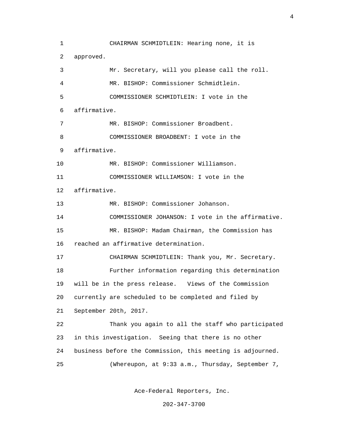1 CHAIRMAN SCHMIDTLEIN: Hearing none, it is 2 approved. 3 Mr. Secretary, will you please call the roll. 4 MR. BISHOP: Commissioner Schmidtlein. 5 COMMISSIONER SCHMIDTLEIN: I vote in the 6 affirmative. 7 MR. BISHOP: Commissioner Broadbent. 8 COMMISSIONER BROADBENT: I vote in the 9 affirmative. 10 MR. BISHOP: Commissioner Williamson. 11 COMMISSIONER WILLIAMSON: I vote in the 12 affirmative. 13 MR. BISHOP: Commissioner Johanson. 14 COMMISSIONER JOHANSON: I vote in the affirmative. 15 MR. BISHOP: Madam Chairman, the Commission has 16 reached an affirmative determination. 17 CHAIRMAN SCHMIDTLEIN: Thank you, Mr. Secretary. 18 Further information regarding this determination 19 will be in the press release. Views of the Commission 20 currently are scheduled to be completed and filed by 21 September 20th, 2017. 22 Thank you again to all the staff who participated 23 in this investigation. Seeing that there is no other 24 business before the Commission, this meeting is adjourned. 25 (Whereupon, at 9:33 a.m., Thursday, September 7,

Ace-Federal Reporters, Inc.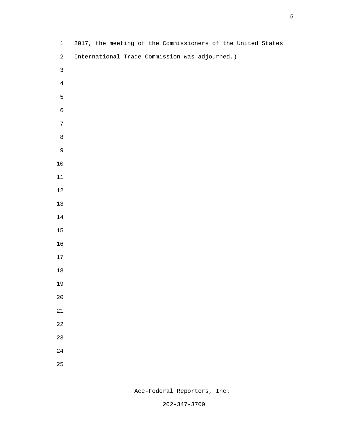| $\mathbf{1}$   | 2017, the meeting of the Commissioners of the United States |
|----------------|-------------------------------------------------------------|
| $\overline{a}$ | International Trade Commission was adjourned.)              |
| $\mathbf{3}$   |                                                             |
| $\bf 4$        |                                                             |
| 5              |                                                             |
| $\epsilon$     |                                                             |
| $\overline{7}$ |                                                             |
| $\,8\,$        |                                                             |
| $\mathsf 9$    |                                                             |
| $10\,$         |                                                             |
| $11\,$         |                                                             |
| $12\,$         |                                                             |
| $13\,$         |                                                             |
| $14\,$         |                                                             |
| $15\,$         |                                                             |
| $16\,$         |                                                             |
| $17\,$         |                                                             |
| $18\,$         |                                                             |
| 19             |                                                             |
| $2\,0$         |                                                             |
| $21\,$         |                                                             |
| $2\sqrt{2}$    |                                                             |
| 23             |                                                             |
| $2\sqrt{4}$    |                                                             |
| 25             |                                                             |